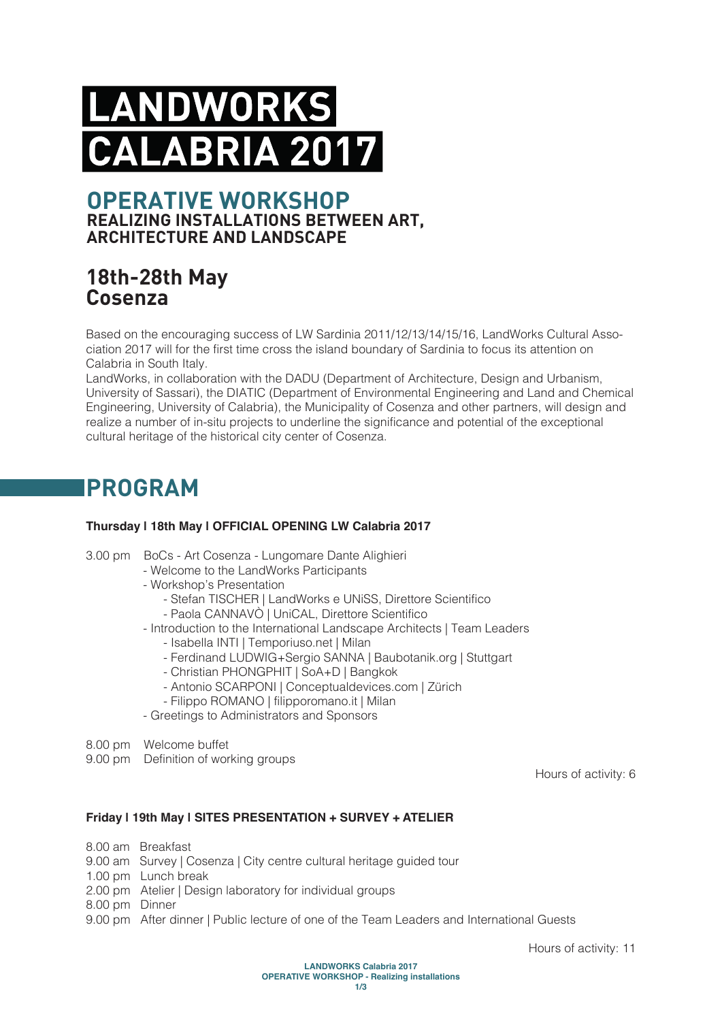# **NDWORKS** A 2017 R

### **OPERATIVE WORKSHOP REALIZING INSTALLATIONS BETWEEN ART, ARCHITECTURE AND LANDSCAPE**

### **18th-28th May Cosenza**

Based on the encouraging success of LW Sardinia 2011/12/13/14/15/16, LandWorks Cultural Association 2017 will for the first time cross the island boundary of Sardinia to focus its attention on Calabria in South Italy.

LandWorks, in collaboration with the DADU (Department of Architecture, Design and Urbanism, University of Sassari), the DIATIC (Department of Environmental Engineering and Land and Chemical Engineering, University of Calabria), the Municipality of Cosenza and other partners, will design and realize a number of in-situ projects to underline the significance and potential of the exceptional cultural heritage of the historical city center of Cosenza.

## **PROGRAM**

#### **Thursday | 18th May | OFFICIAL OPENING LW Calabria 2017**

3.00 pm BoCs - Art Cosenza - Lungomare Dante Alighieri

- Welcome to the LandWorks Participants
- Workshop's Presentation
	- Stefan TISCHER | LandWorks e UNiSS, Direttore Scientifico
	- Paola CANNAVÒ | UniCAL, Direttore Scientifico
- Introduction to the International Landscape Architects | Team Leaders
	- Isabella INTI | Temporiuso.net | Milan
	- Ferdinand LUDWIG+Sergio SANNA | Baubotanik.org | Stuttgart
	- Christian PHONGPHIT | SoA+D | Bangkok
	- Antonio SCARPONI | Conceptualdevices.com | Zürich
	- Filippo ROMANO | filipporomano.it | Milan
- Greetings to Administrators and Sponsors
- 8.00 pm Welcome buffet
- 9.00 pm Definition of working groups

Hours of activity: 6

#### **Friday | 19th May | SITES PRESENTATION + SURVEY + ATELIER**

- 8.00 am Breakfast
- 9.00 am Survey | Cosenza | City centre cultural heritage guided tour
- 1.00 pm Lunch break
- 2.00 pm Atelier | Design laboratory for individual groups
- 8.00 pm Dinner
- 9.00 pm After dinner | Public lecture of one of the Team Leaders and International Guests

Hours of activity: 11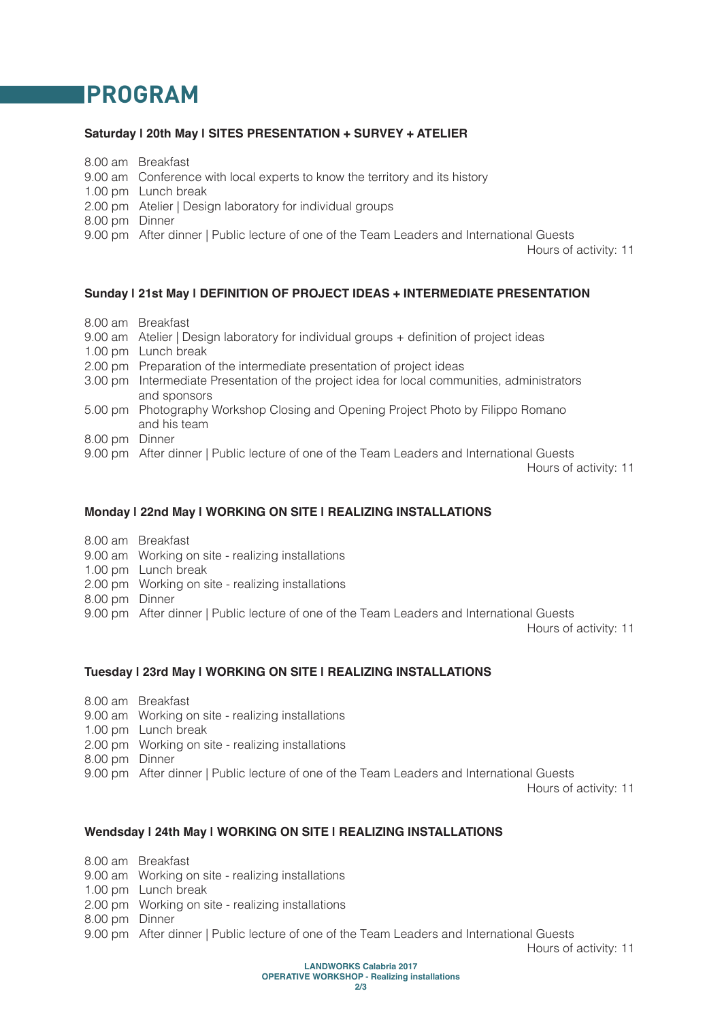### **PROGRAM**

#### **Saturday | 20th May | SITES PRESENTATION + SURVEY + ATELIER**

- 8.00 am Breakfast
- 9.00 am Conference with local experts to know the territory and its history
- 1.00 pm Lunch break
- 2.00 pm Atelier | Design laboratory for individual groups
- 8.00 pm Dinner
- 9.00 pm After dinner | Public lecture of one of the Team Leaders and International Guests

Hours of activity: 11

#### **Sunday | 21st May | DEFINITION OF PROJECT IDEAS + INTERMEDIATE PRESENTATION**

- 8.00 am Breakfast
- 9.00 am Atelier | Design laboratory for individual groups + definition of project ideas
- 1.00 pm Lunch break
- 2.00 pm Preparation of the intermediate presentation of project ideas
- 3.00 pm Intermediate Presentation of the project idea for local communities, administrators and sponsors
- 5.00 pm Photography Workshop Closing and Opening Project Photo by Filippo Romano and his team
- 8.00 pm Dinner
- 9.00 pm After dinner | Public lecture of one of the Team Leaders and International Guests

Hours of activity: 11

#### **Monday | 22nd May | WORKING ON SITE | REALIZING INSTALLATIONS**

- 8.00 am Breakfast
- 9.00 am Working on site realizing installations
- 1.00 pm Lunch break
- 2.00 pm Working on site realizing installations
- 8.00 pm Dinner
- 9.00 pm After dinner | Public lecture of one of the Team Leaders and International Guests

Hours of activity: 11

#### **Tuesday | 23rd May | WORKING ON SITE | REALIZING INSTALLATIONS**

- 8.00 am Breakfast
- 9.00 am Working on site realizing installations
- 1.00 pm Lunch break
- 2.00 pm Working on site realizing installations
- 8.00 pm Dinner
- 9.00 pm After dinner | Public lecture of one of the Team Leaders and International Guests

Hours of activity: 11

#### **Wendsday | 24th May | WORKING ON SITE | REALIZING INSTALLATIONS**

8.00 am Breakfast

- 9.00 am Working on site realizing installations
- 1.00 pm Lunch break
- 2.00 pm Working on site realizing installations
- 8.00 pm Dinner
- 9.00 pm After dinner | Public lecture of one of the Team Leaders and International Guests

Hours of activity: 11